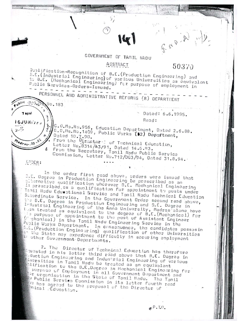## GOVERNMENT OF TAMIL NADU

## ABSTRACT

## 50370

FAD.A

 $\texttt{Quplification-Recup}$  of  $\texttt{B.E.}(\texttt{Production Engineering})$  and B.E. (Industrial Engineering) of various Universities as equivalent to B.E. (Mechanical Engineering) for purpose of employment in Public Sarvices -- Orders-Issued.

PERSONNEL AND ADMINISTRATIVE REFURMS (R) DEPARTMENT No. 183 Dated: 6.6.1995. **Tapal** Read: GJUNI'JS.J G.D.Ms.No.956, Education Department, Dated 2.6.88. G.O.Ms. No. 1409, Public Works (D2) Department, Dated 10.7.90. From the Diracture of Technical Education,  $n_{dr_{25}}$ , 30 Letter No. 8314/A3/91, Dated 14.6.93.<br>From the Secretary, Tamil Nadu Public Service<br>Commission, Letter No.712/DG3/94, Dated 31.8.94.

**LEDER:** 

In the order first read above, orders were issued that B.E. Degree in Production Engineering De prescribed as an piternativa qualification whorever B.E. Mechanical Engineering is prescribed as a qualification for appointment to posts under Tamil Nadu Educational Service and Tamil Nadu Technical Education Subordinate Service. In the Government Order second read above, the B.E. Degree in Production Engineering and S.E. Degree in Industrial Engineering of the Anna University, Madras alone have Wean treated as equivalent to the degree of B.E. (Mechanical) for its purpose of appointment to the post of Assistant Engineer (I chanical) in the Tamil Nadu Engineering Service in the Public Works Department. In consequence, the condidates possesin 5.5. (Production Enginesring) qualification of other Universities the State may experience difficulty in securing employment in other Governmont Departments.

2. The Director of Technical Education has therefore quested in his letter third read above that B.E. Degree in e-duction Enginaaring and Industrial Engineering of various Liversities in Tamil Nady be treated as an equivalent  $\mathbb{R}^1$ ification to the B.E.Dogree in Mechanical Engineering for purpose of Employment in all Government Department and Er organisation in the State of Tamil Madu. The Tamil public Service Conmission in its letter fourth read y<sub>3</sub> has agreed to the proposal of the Director of thnical Education.